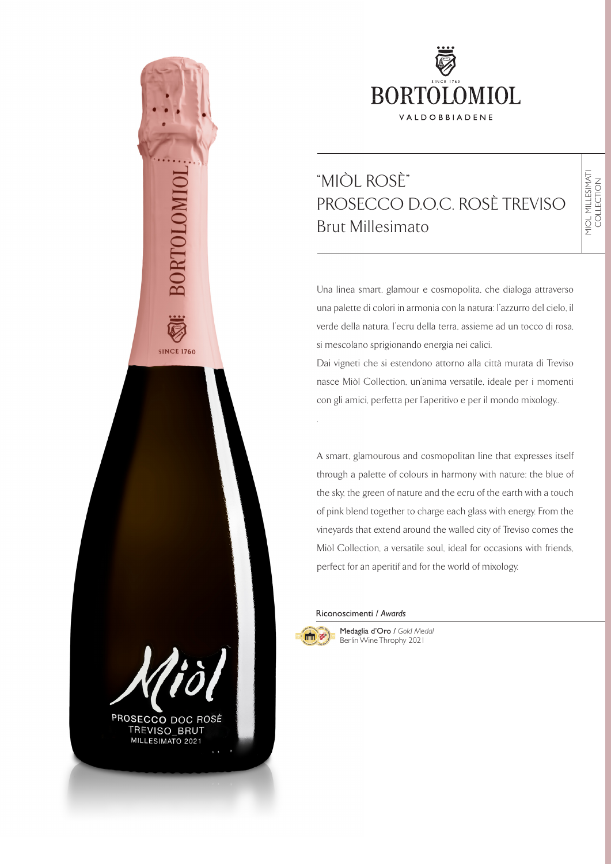

## $^*$ MIÒL ROCÈ" **PROSECCOO** D.O.C. ROSË TREVISOR DI DISPOSITIVE<br>Desembrit Brut "MIÒL ROSÈ" PROSECCO D.O.C. ROSÈ TREVISO Brut Millesimato

Una linea smart, glamour e cosmopolita, che dialoga attraverso una palette di colori in armonia con la natura: l'azzurro del cielo, il verde della natura, l'ecru della terra, assieme ad un tocco di rosa, si mescolano sprigionando energia nei calici.

Dai vigneti che si estendono attorno alla città murata di Treviso nasce Miòl Collection, un'anima versatile, ideale per i momenti con gli amici, perfetta per l'aperitivo e per il mondo mixology..

A smart, glamourous and cosmopolitan line that expresses itself through a palette of colours in harmony with nature: the blue of the sky, the green of nature and the ecru of the earth with a touch of pink blend together to charge each glass with energy. From the vineyards that extend around the walled city of Treviso comes the Miòl Collection, a versatile soul, ideal for occasions with friends, perfect for an aperitif and for the world of mixology.

#### Riconoscimenti / *Awards*



.

Medaglia d'Oro / *Gold Medal* Berlin Wine Throphy 2021



**SINCE 1760** 

PROSECCO DOC ROSÈ TREVISO\_BRUT MILLESIMATO 2021